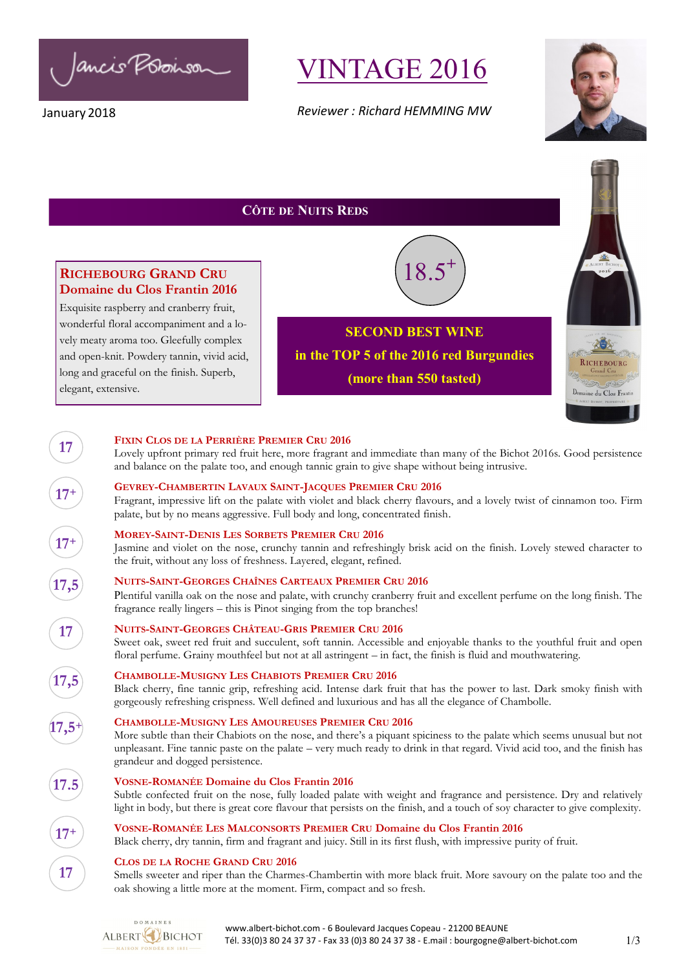Ancis Potoison

January 2018

**17**

**17<sup>+</sup>**

**17<sup>+</sup>**

**17,5**

**17**

**17,5**

**17.5**

**17<sup>+</sup>**

**17**

# VINTAGE 2016

*Reviewer : Richard HEMMING MW*



### **CÔTE DE NUITS REDS**

#### **RICHEBOURG GRAND CRU Domaine du Clos Frantin 2016**

Exquisite raspberry and cranberry fruit, wonderful floral accompaniment and a lovely meaty aroma too. Gleefully complex and open-knit. Powdery tannin, vivid acid, long and graceful on the finish. Superb, elegant, extensive.

**FIXIN CLOS DE LA PERRIÈRE PREMIER CRU 2016**

# **SECOND BEST WINE in the TOP 5 of the 2016 red Burgundies (more than 550 tasted)**

Lovely upfront primary red fruit here, more fragrant and immediate than many of the Bichot 2016s. Good persistence

18.5**<sup>+</sup>**



#### **GEVREY-CHAMBERTIN LAVAUX SAINT-JACQUES PREMIER CRU 2016** Fragrant, impressive lift on the palate with violet and black cherry flavours, and a lovely twist of cinnamon too. Firm palate, but by no means aggressive. Full body and long, concentrated finish. **MOREY-SAINT-DENIS LES SORBETS PREMIER CRU 2016**  Jasmine and violet on the nose, crunchy tannin and refreshingly brisk acid on the finish. Lovely stewed character to the fruit, without any loss of freshness. Layered, elegant, refined. **NUITS-SAINT-GEORGES CHAÎNES CARTEAUX PREMIER CRU 2016**  Plentiful vanilla oak on the nose and palate, with crunchy cranberry fruit and excellent perfume on the long finish. The fragrance really lingers – this is Pinot singing from the top branches! **NUITS-SAINT-GEORGES CHÂTEAU-GRIS PREMIER CRU 2016** Sweet oak, sweet red fruit and succulent, soft tannin. Accessible and enjoyable thanks to the youthful fruit and open floral perfume. Grainy mouthfeel but not at all astringent – in fact, the finish is fluid and mouthwatering. **CHAMBOLLE-MUSIGNY LES CHABIOTS PREMIER CRU 2016**  Black cherry, fine tannic grip, refreshing acid. Intense dark fruit that has the power to last. Dark smoky finish with gorgeously refreshing crispness. Well defined and luxurious and has all the elegance of Chambolle. **CHAMBOLLE-MUSIGNY LES AMOUREUSES PREMIER CRU 2016** More subtle than their Chabiots on the nose, and there's a piquant spiciness to the palate which seems unusual but not unpleasant. Fine tannic paste on the palate – very much ready to drink in that regard. Vivid acid too, and the finish has grandeur and dogged persistence. **VOSNE-ROMANÉE Domaine du Clos Frantin 2016** Subtle confected fruit on the nose, fully loaded palate with weight and fragrance and persistence. Dry and relatively light in body, but there is great core flavour that persists on the finish, and a touch of soy character to give complexity. **VOSNE-ROMANÉE LES MALCONSORTS PREMIER CRU Domaine du Clos Frantin 2016**  Black cherry, dry tannin, firm and fragrant and juicy. Still in its first flush, with impressive purity of fruit. **CLOS DE LA ROCHE GRAND CRU 2016 17,5<sup>+</sup>**

and balance on the palate too, and enough tannic grain to give shape without being intrusive.

Smells sweeter and riper than the Charmes-Chambertin with more black fruit. More savoury on the palate too and the oak showing a little more at the moment. Firm, compact and so fresh.

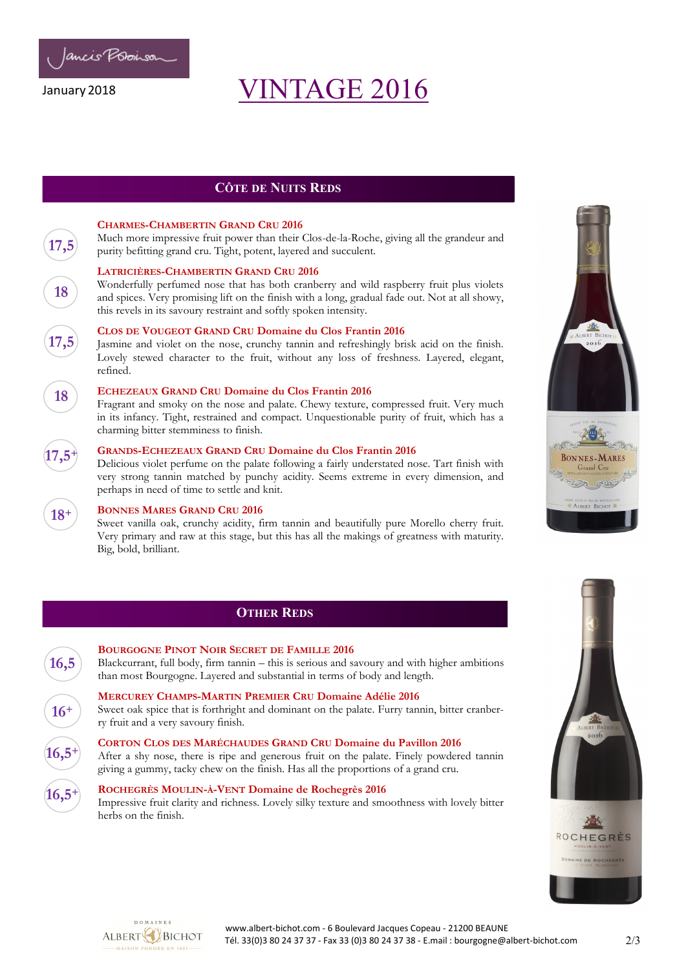

**17,5**

**18**

**17,5**

**18**

**17,5<sup>+</sup>**

**18<sup>+</sup>**

# VINTAGE 2016

## **CÔTE DE NUITS REDS**

#### **CHARMES-CHAMBERTIN GRAND CRU 2016**

Much more impressive fruit power than their Clos-de-la-Roche, giving all the grandeur and purity befitting grand cru. Tight, potent, layered and succulent.

#### **LATRICIÈRES-CHAMBERTIN GRAND CRU 2016**

Wonderfully perfumed nose that has both cranberry and wild raspberry fruit plus violets and spices. Very promising lift on the finish with a long, gradual fade out. Not at all showy, this revels in its savoury restraint and softly spoken intensity.

#### **CLOS DE VOUGEOT GRAND CRU Domaine du Clos Frantin 2016**

Jasmine and violet on the nose, crunchy tannin and refreshingly brisk acid on the finish. Lovely stewed character to the fruit, without any loss of freshness. Layered, elegant, refined.

#### **ECHEZEAUX GRAND CRU Domaine du Clos Frantin 2016**

Fragrant and smoky on the nose and palate. Chewy texture, compressed fruit. Very much in its infancy. Tight, restrained and compact. Unquestionable purity of fruit, which has a charming bitter stemminess to finish.

#### **GRANDS-ECHEZEAUX GRAND CRU Domaine du Clos Frantin 2016**

Delicious violet perfume on the palate following a fairly understated nose. Tart finish with very strong tannin matched by punchy acidity. Seems extreme in every dimension, and perhaps in need of time to settle and knit.

#### **BONNES MARES GRAND CRU 2016**

Sweet vanilla oak, crunchy acidity, firm tannin and beautifully pure Morello cherry fruit. Very primary and raw at this stage, but this has all the makings of greatness with maturity. Big, bold, brilliant.

### **OTHER REDS**



### **BOURGOGNE PINOT NOIR SECRET DE FAMILLE 2016**

Blackcurrant, full body, firm tannin – this is serious and savoury and with higher ambitions than most Bourgogne. Layered and substantial in terms of body and length.

#### **MERCUREY CHAMPS-MARTIN PREMIER CRU Domaine Adélie 2016**  Sweet oak spice that is forthright and dominant on the palate. Furry tannin, bitter cranberry fruit and a very savoury finish.

**CORTON CLOS DES MARÉCHAUDES GRAND CRU Domaine du Pavillon 2016**  After a shy nose, there is ripe and generous fruit on the palate. Finely powdered tannin giving a gummy, tacky chew on the finish. Has all the proportions of a grand cru.

#### **ROCHEGRÈS MOULIN-À-VENT Domaine de Rochegrès 2016**

Impressive fruit clarity and richness. Lovely silky texture and smoothness with lovely bitter herbs on the finish.







DE ROCHEGRÉS